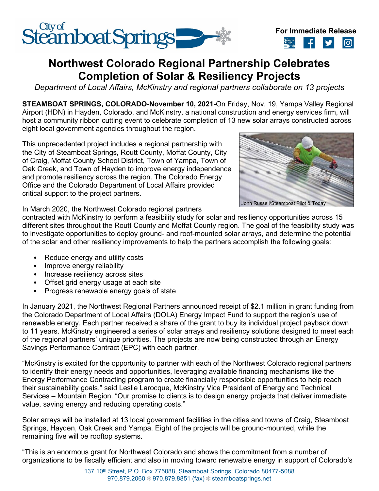



# **Northwest Colorado Regional Partnership Celebrates Completion of Solar & Resiliency Projects**

*Department of Local Affairs, McKinstry and regional partners collaborate on 13 projects*

**STEAMBOAT SPRINGS, COLORADO**-**November 10, 2021-**On Friday, Nov. 19, Yampa Valley Regional Airport (HDN) in Hayden, Colorado, and McKinstry, a national construction and energy services firm, will host a community ribbon cutting event to celebrate completion of 13 new solar arrays constructed across eight local government agencies throughout the region.

This unprecedented project includes a regional partnership with the City of Steamboat Springs, Routt County, Moffat County, City of Craig, Moffat County School District, Town of Yampa, Town of Oak Creek, and Town of Hayden to improve energy independence and promote resiliency across the region. The Colorado Energy Office and the Colorado Department of Local Affairs provided critical support to the project partners.



In March 2020, the Northwest Colorado regional partners

contracted with McKinstry to perform a feasibility study for solar and resiliency opportunities across 15 different sites throughout the Routt County and Moffat County region. The goal of the feasibility study was to investigate opportunities to deploy ground- and roof-mounted solar arrays, and determine the potential of the solar and other resiliency improvements to help the partners accomplish the following goals:

- Reduce energy and utility costs
- Improve energy reliability
- Increase resiliency across sites
- Offset grid energy usage at each site
- Progress renewable energy goals of state

In January 2021, the Northwest Regional Partners announced receipt of \$2.1 million in grant funding from the Colorado Department of Local Affairs (DOLA) Energy Impact Fund to support the region's use of renewable energy. Each partner received a share of the grant to buy its individual project payback down to 11 years. McKinstry engineered a series of solar arrays and resiliency solutions designed to meet each of the regional partners' unique priorities. The projects are now being constructed through an Energy Savings Performance Contract (EPC) with each partner.

"McKinstry is excited for the opportunity to partner with each of the Northwest Colorado regional partners to identify their energy needs and opportunities, leveraging available financing mechanisms like the Energy Performance Contracting program to create financially responsible opportunities to help reach their sustainability goals," said Leslie Larocque, McKinstry Vice President of Energy and Technical Services – Mountain Region. "Our promise to clients is to design energy projects that deliver immediate value, saving energy and reducing operating costs."

Solar arrays will be installed at 13 local government facilities in the cities and towns of Craig, Steamboat Springs, Hayden, Oak Creek and Yampa. Eight of the projects will be ground-mounted, while the remaining five will be rooftop systems.

"This is an enormous grant for Northwest Colorado and shows the commitment from a number of organizations to be fiscally efficient and also in moving toward renewable energy in support of Colorado's